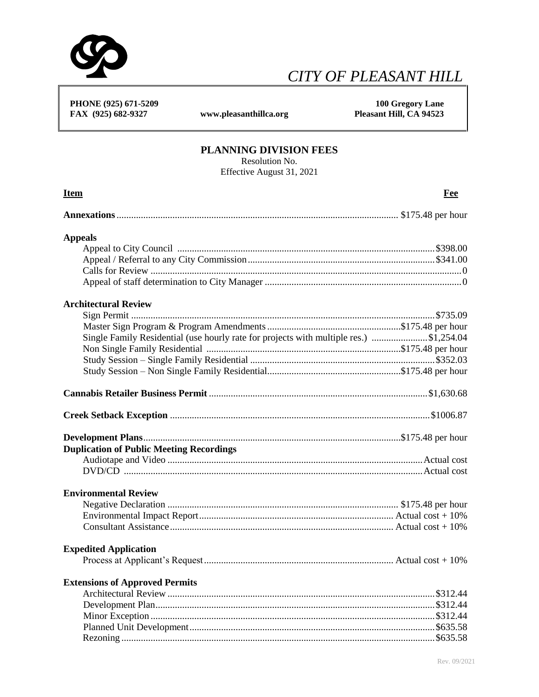

## *CITY OF PLEASANT HILL*

 **PHONE (925) 671-5209 100 Gregory Lane**  FAX (925) 682-9327 www.pleasanthillca.org

## **PLANNING DIVISION FEES**

Resolution No.

Effective August 31, 2021

| Effective August 31, 2021                                                              |     |  |
|----------------------------------------------------------------------------------------|-----|--|
| <b>Item</b>                                                                            | Fee |  |
|                                                                                        |     |  |
| <b>Appeals</b>                                                                         |     |  |
|                                                                                        |     |  |
|                                                                                        |     |  |
|                                                                                        |     |  |
|                                                                                        |     |  |
| <b>Architectural Review</b>                                                            |     |  |
|                                                                                        |     |  |
|                                                                                        |     |  |
| Single Family Residential (use hourly rate for projects with multiple res.) \$1,254.04 |     |  |
|                                                                                        |     |  |
|                                                                                        |     |  |
|                                                                                        |     |  |
|                                                                                        |     |  |
|                                                                                        |     |  |
|                                                                                        |     |  |
| <b>Duplication of Public Meeting Recordings</b>                                        |     |  |
|                                                                                        |     |  |
|                                                                                        |     |  |
| <b>Environmental Review</b>                                                            |     |  |
|                                                                                        |     |  |
|                                                                                        |     |  |
|                                                                                        |     |  |
| <b>Expedited Application</b>                                                           |     |  |
|                                                                                        |     |  |
| <b>Extensions of Approved Permits</b>                                                  |     |  |
|                                                                                        |     |  |
|                                                                                        |     |  |
|                                                                                        |     |  |
|                                                                                        |     |  |
|                                                                                        |     |  |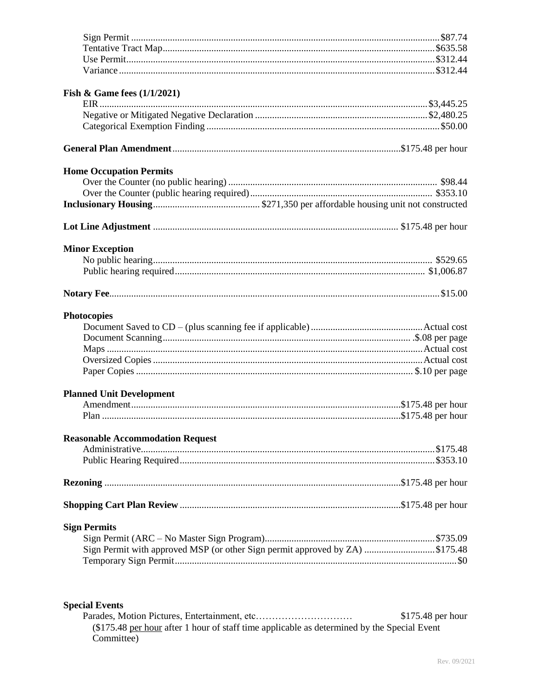| Fish & Game fees $(1/1/2021)$                                                |  |
|------------------------------------------------------------------------------|--|
|                                                                              |  |
|                                                                              |  |
|                                                                              |  |
|                                                                              |  |
| <b>Home Occupation Permits</b>                                               |  |
|                                                                              |  |
|                                                                              |  |
|                                                                              |  |
|                                                                              |  |
|                                                                              |  |
| <b>Minor Exception</b>                                                       |  |
|                                                                              |  |
|                                                                              |  |
|                                                                              |  |
| <b>Photocopies</b>                                                           |  |
|                                                                              |  |
|                                                                              |  |
|                                                                              |  |
|                                                                              |  |
|                                                                              |  |
|                                                                              |  |
| <b>Planned Unit Development</b>                                              |  |
|                                                                              |  |
|                                                                              |  |
| <b>Reasonable Accommodation Request</b>                                      |  |
|                                                                              |  |
|                                                                              |  |
|                                                                              |  |
|                                                                              |  |
| <b>Sign Permits</b>                                                          |  |
|                                                                              |  |
| Sign Permit with approved MSP (or other Sign permit approved by ZA) \$175.48 |  |
|                                                                              |  |
|                                                                              |  |
|                                                                              |  |
| <b>Special Events</b>                                                        |  |

\$175.48 per hour (\$175.48 per hour after 1 hour of staff time applicable as determined by the Special Event<br>Committee)